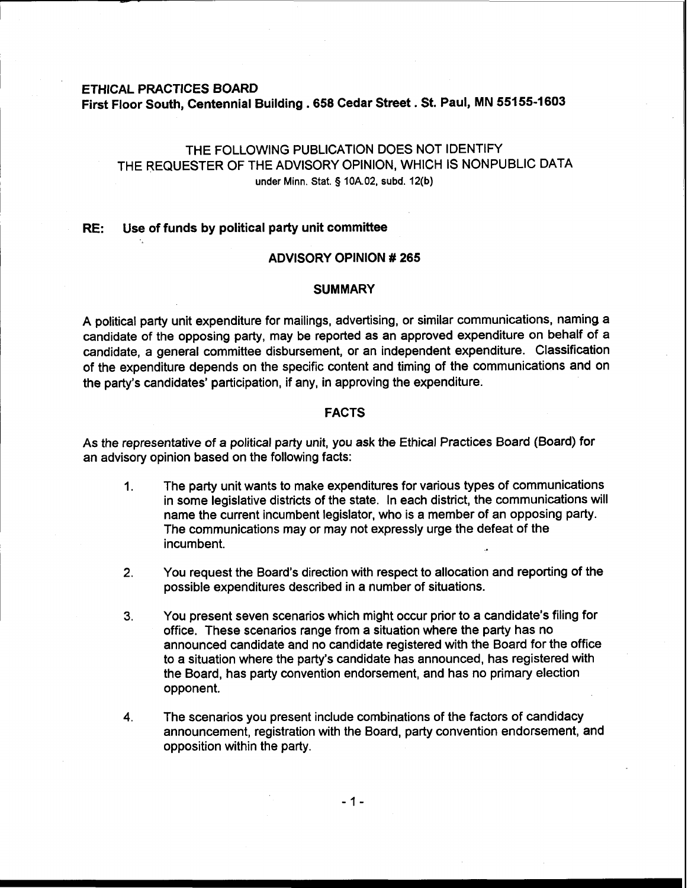# ETHICAL PRACTICES BOARD First Floor South, Centennial Building **.658** Cedar Street. St. Paul, MN **55155-1603**

# THE FOLLOWING PUBLICATION DOES NOT IDENTIFY THE REQUESTER OF THE ADVISORY OPINION, WHICH IS NONPUBLIC DATA under **Minn.** Stat. **5** 10A.02, subd. 12(b)

#### RE: Use of funds by political party unit committee

## ADVISORY OPINION # **265**

## **SUMMARY**

A political party unit expenditure for mailings, advertising, or similar communications, naming a candidate of the opposing party, may be reported as an approved expenditure on behalf of a candidate, a general committee disbursement, or an independent expenditure. Classification of the expenditure depends on the specific content and timing of the communications and on the party's candidates' participation, if any, in approving the expenditure.

## FACTS

As the representative of a political party unit, you ask the Ethical Practices Board (Board) for an advisory opinion based on the following facts:

- 1. The party unit wants to make expenditures for various types of communications in some legislative districts of the state. In each district, the communications will name the current incumbent legislator, who is a member of an opposing party. The communications may or may not expressly urge the defeat of the incumbent.
- **2.** You request the Board's direction with respect to allocation and reporting of the possible expenditures described in a number of situations.
- **3.** You present seven scenarios which might occur prior to a candidate's filing for office. These scenarios range from a situation where the party has no announced candidate and no candidate registered with the Board for the office to a situation where the party's candidate has announced, has registered with the Board, has party convention endorsement, and has no primary election opponent.
- **4.** The scenarios you present include combinations of the factors of candidacy announcement, registration with the Board, party convention endorsement, and opposition within the party.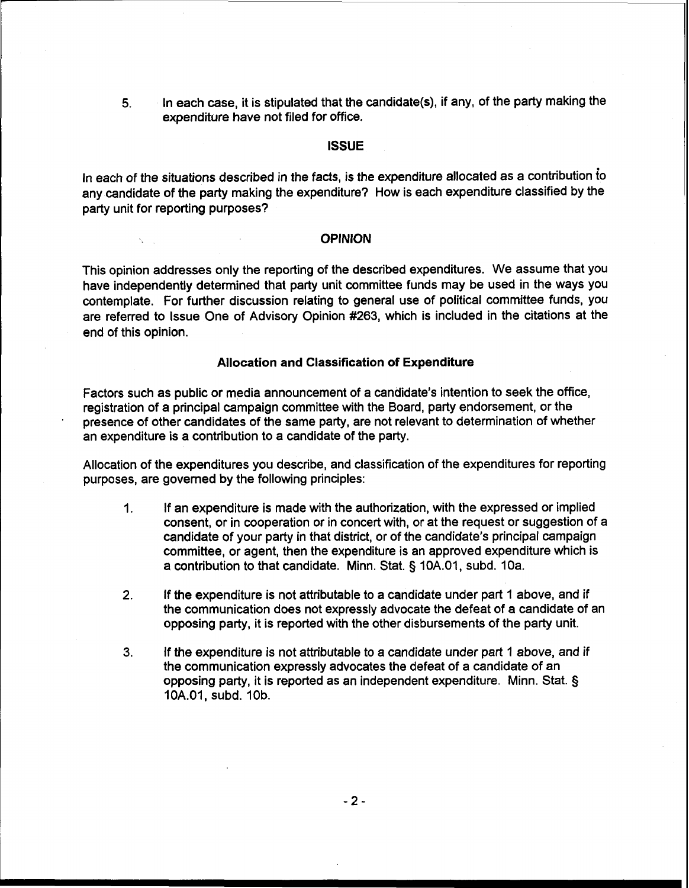**5.** In each case, it is stipulated that the candidate(s), if any, of the party making the expenditure have not filed for office.

#### **ISSUE**

In each of the situations described in the facts, is the expenditure allocated as a contribution io any candidate of the party making the expenditure? How is each expenditure classified by the party unit for reporting purposes?

### **OPINION**

This opinion addresses only the reporting of the described expenditures. We assume that you have independently determined that party unit committee funds may be used in the ways you contemplate. For further discussion relating to general use of political committee funds, you are referred to Issue One of Advisory Opinion #263, which is included in the citations at the end of this opinion.

## I **Allocation and Classification of Expenditure**

Factors such as public or media announcement of a candidate's intention to seek the office, registration of a principal campaign committee with the Board, party endorsement, or the presence of other candidates of the same party, are not relevant to determination of whether an expenditure is a contribution to a candidate of the party.

Allocation of the expenditures you describe, and classification of the expenditures for reporting purposes, are governed by the following principles:

- 1. **If** an expenditure is made with the authorization, with the expressed or implied consent, or in cooperation or in concert with, or at the request or suggestion of a candidate of your party in that district, or of the candidate's principal campaign committee, or agent, then the expenditure is an approved expenditure which is a contribution to that candidate. Minn. Stat. § 10A.01, subd. 10a.
- **2.** If the expenditure is not attributable to a candidate under part 1 above, and if the communication does not expressly advocate the defeat of a candidate of an opposing party, it is reported with the other disbursements of the party unit.
- **3.** If the expenditure is not attributable to a candidate under part 1 above, and if the communication expressly advocates the defeat of a candidate of an opposing party, it is reported as an independent expenditure. Minn. Stat. § 10A.01, subd. 10b.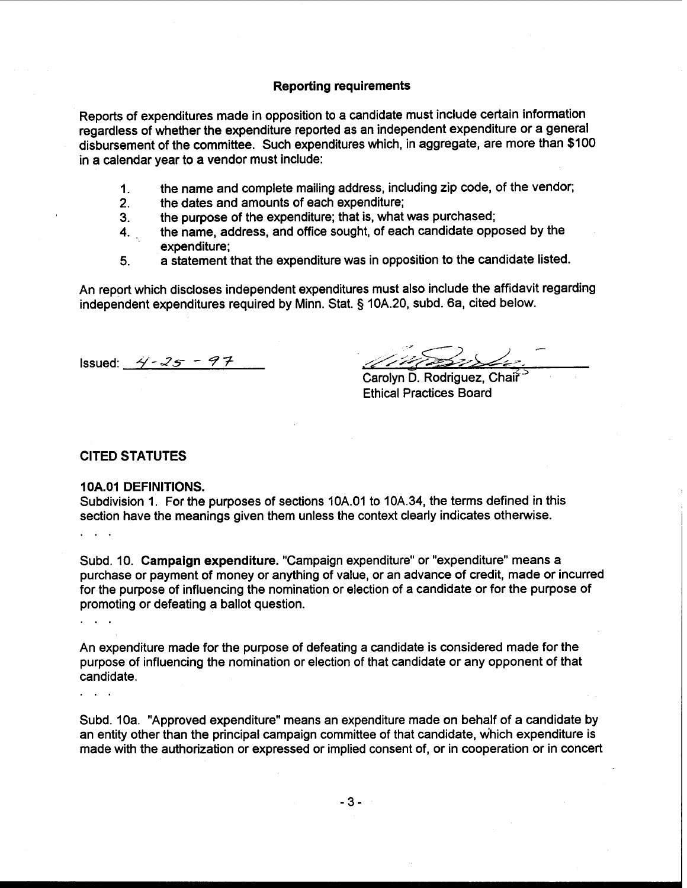## Reporting requirements

Reports of expenditures made in opposition to a candidate must include certain information regardless of whether the expenditure reported as an independent expenditure or a general disbursement of the committee. Such expenditures which, in aggregate, are more than \$1 00 in a calendar year to a vendor must include:

- 1. the name and complete mailing address, including zip code, of the vendor;
- 2. the dates and amounts of each expenditure;
- 
- 3. the purpose of the expenditure; that is, what was purchased;<br>4. the name, address, and office sought, of each candidate opp the name, address, and office sought, of each candidate opposed by the expenditure;
- **5.** a statement that the expenditure was in opposition to the candidate listed.

An report which discloses independent expenditures must also include the affidavit regarding independent expenditures required by Minn. Stat. **3** 10A.20, subd. 6a, cited below.

ssued: <u>4-25-97</u> ,& *se/&+5/d* **is'\*** 

Carolyn D. Rodriguez, Chair<sup>-5</sup> Ethical Practices Board

## CITED STATUTES

#### **10A.01** DEFINITIONS.

Subdivision 1. For the purposes of sections 10A.O1 to 10A.34, the terms defined in this section have the meanings given them unless the context clearly indicates otherwise.

Subd. 10. Campaign expenditure. "Campaign expenditure" or "expenditure" means a purchase or payment of money or anything of value, or an advance of credit, made or incurred for the purpose of influencing the nomination or election of a candidate or for the purpose of promoting or defeating a ballot question.

An expenditure made for the purpose of defeating a candidate is considered made for the purpose of influencing the nomination or election of that candidate or any opponent of that candidate.

. . .

 $\mathbf{L}$  and  $\mathbf{L}$ 

Subd. 10a. "Approved expenditure" means an expenditure made on behalf of a candidate by an entity other than the principal campaign committee of that candidate, which expenditure is made with the authorization or expressed or implied consent of, or in cooperation or in concert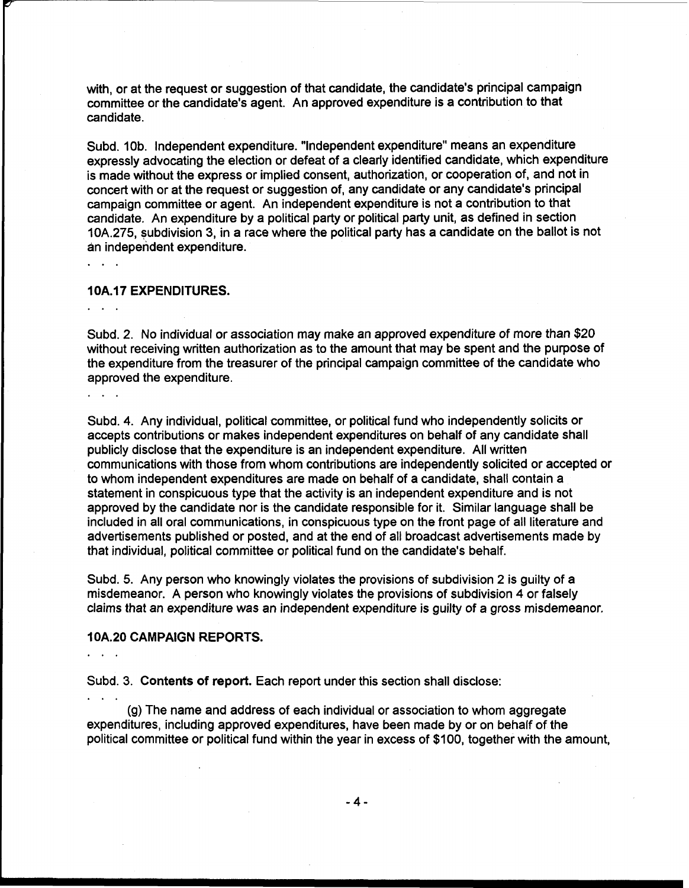with, or at the request or suggestion of that candidate, the candidate's principal campaign committee or the candidate's agent. An approved expenditure is a contribution to that candidate.

Subd. 10b. Independent expenditure. "Independent expenditure" means an expenditure expressly advocating the election or defeat of a clearly identified candidate, which expenditure is made without the express or implied consent, authorization, or cooperation of, and not in concert with or at the request or suggestion of, any candidate or any candidate's principal campaign committee or agent. An independent expenditure is not a contribution to that candidate. An expenditure by a political party or political party unit, as defined in section 10A.275, subdivision 3, in a race where the political party has a candidate on the ballot is not an independent expenditure.

### **10A.17 EXPENDITURES.**

 $\ddotsc$ 

Subd. 2. No individual or association may make an approved expenditure of more than \$20 without receiving written authorization as to the amount that may be spent and the purpose of the expenditure from the treasurer of the principal campaign committee of the candidate who approved the expenditure.

Subd. 4. Any individual, political committee, or political fund who independently solicits or accepts contributions or makes independent expenditures on behalf of any candidate shall publicly disclose that the expenditure is an independent expenditure. All written communications with those from whom contributions are independently solicited or accepted or to whom independent expenditures are made on behalf of a candidate, shall contain a statement in conspicuous type that the activity is an independent expenditure and is not approved by the candidate nor is the candidate responsible for it. Similar language shall be included in all oral communications, in conspicuous type on the front page of all literature and advertisements published or posted, and at the end of all broadcast advertisements made by that individual, political committee or political fund on the candidate's behalf.

Subd. 5. Any person who knowingly violates the provisions of subdivision 2 is guilty of a misdemeanor. A person who knowingly violates the provisions of subdivision 4 or falsely claims that an expenditure was an independent expenditure is guilty of a gross misdemeanor.

### **I OA.20 CAMPAIGN REPORTS.**

Subd. 3. **Contents of report.** Each report under this section shall disclose:

(g) The name and address of each individual or association to whom aggregate expenditures, including approved expenditures, have been made by or on behalf of the political committee or political fund within the year in excess of \$100, together with the amount,